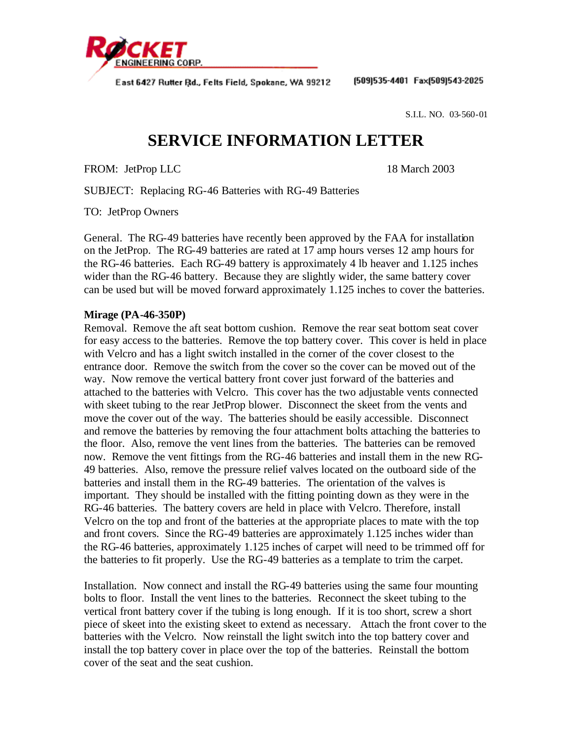

East 6427 Rutter Rd., Felts Field, Spokane, WA 99212

(509)535-4401 Fax(509)543-2025

S.I.L. NO. 03-560-01

## **SERVICE INFORMATION LETTER**

FROM: JetProp LLC 18 March 2003

SUBJECT: Replacing RG-46 Batteries with RG-49 Batteries

TO: JetProp Owners

General. The RG-49 batteries have recently been approved by the FAA for installation on the JetProp. The RG-49 batteries are rated at 17 amp hours verses 12 amp hours for the RG-46 batteries. Each RG-49 battery is approximately 4 lb heaver and 1.125 inches wider than the RG-46 battery. Because they are slightly wider, the same battery cover can be used but will be moved forward approximately 1.125 inches to cover the batteries.

## **Mirage (PA-46-350P)**

Removal. Remove the aft seat bottom cushion. Remove the rear seat bottom seat cover for easy access to the batteries. Remove the top battery cover. This cover is held in place with Velcro and has a light switch installed in the corner of the cover closest to the entrance door. Remove the switch from the cover so the cover can be moved out of the way. Now remove the vertical battery front cover just forward of the batteries and attached to the batteries with Velcro. This cover has the two adjustable vents connected with skeet tubing to the rear JetProp blower. Disconnect the skeet from the vents and move the cover out of the way. The batteries should be easily accessible. Disconnect and remove the batteries by removing the four attachment bolts attaching the batteries to the floor. Also, remove the vent lines from the batteries. The batteries can be removed now. Remove the vent fittings from the RG-46 batteries and install them in the new RG-49 batteries. Also, remove the pressure relief valves located on the outboard side of the batteries and install them in the RG-49 batteries. The orientation of the valves is important. They should be installed with the fitting pointing down as they were in the RG-46 batteries. The battery covers are held in place with Velcro. Therefore, install Velcro on the top and front of the batteries at the appropriate places to mate with the top and front covers. Since the RG-49 batteries are approximately 1.125 inches wider than the RG-46 batteries, approximately 1.125 inches of carpet will need to be trimmed off for the batteries to fit properly. Use the RG-49 batteries as a template to trim the carpet.

Installation. Now connect and install the RG-49 batteries using the same four mounting bolts to floor. Install the vent lines to the batteries. Reconnect the skeet tubing to the vertical front battery cover if the tubing is long enough. If it is too short, screw a short piece of skeet into the existing skeet to extend as necessary. Attach the front cover to the batteries with the Velcro. Now reinstall the light switch into the top battery cover and install the top battery cover in place over the top of the batteries. Reinstall the bottom cover of the seat and the seat cushion.